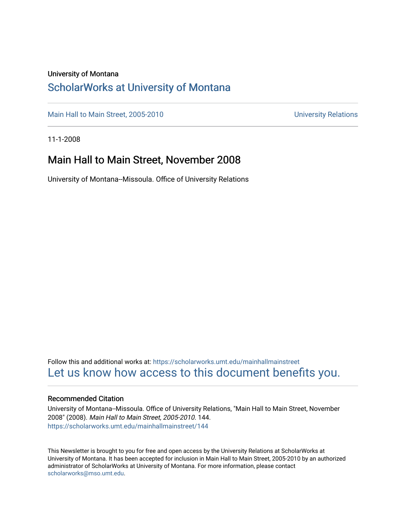#### University of Montana

## [ScholarWorks at University of Montana](https://scholarworks.umt.edu/)

[Main Hall to Main Street, 2005-2010](https://scholarworks.umt.edu/mainhallmainstreet) Main Hall to Main Street, 2005-2010

11-1-2008

## Main Hall to Main Street, November 2008

University of Montana--Missoula. Office of University Relations

Follow this and additional works at: [https://scholarworks.umt.edu/mainhallmainstreet](https://scholarworks.umt.edu/mainhallmainstreet?utm_source=scholarworks.umt.edu%2Fmainhallmainstreet%2F144&utm_medium=PDF&utm_campaign=PDFCoverPages) [Let us know how access to this document benefits you.](https://goo.gl/forms/s2rGfXOLzz71qgsB2) 

#### Recommended Citation

University of Montana--Missoula. Office of University Relations, "Main Hall to Main Street, November 2008" (2008). Main Hall to Main Street, 2005-2010. 144. [https://scholarworks.umt.edu/mainhallmainstreet/144](https://scholarworks.umt.edu/mainhallmainstreet/144?utm_source=scholarworks.umt.edu%2Fmainhallmainstreet%2F144&utm_medium=PDF&utm_campaign=PDFCoverPages)

This Newsletter is brought to you for free and open access by the University Relations at ScholarWorks at University of Montana. It has been accepted for inclusion in Main Hall to Main Street, 2005-2010 by an authorized administrator of ScholarWorks at University of Montana. For more information, please contact [scholarworks@mso.umt.edu.](mailto:scholarworks@mso.umt.edu)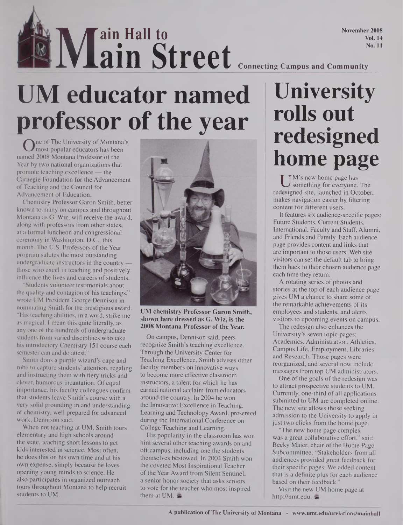November 2008 Vol. 14 No. 11

**lAt M ain Hall to ain Street Connecting Campus and Community**

# **UM educator named professor of the year**

One of the University of Montana's<br>med 2008 Montana Professor of the ne of The University of Montana's most popular educators has been Year by two national organizations that promote teaching excellence — the Carnegie Foundation for the Advancement of Teaching and the Council for Advancement of Education.

Chemistry Professor Garon Smith, better known to many on campus and throughout Montana as G. Wiz, will receive the award, along with professors from other states, at a formal luncheon and congressional ceremony in Washington, D.C., this month. The U.S. Professors of the Year program salutes the most outstanding undergraduate instructors in the country those who excel in teaching and positively influence the lives and careers of students.

"Students volunteer testimonials about the quality and contagion of his teachings," wrote UM President George Dennison in nominating Smith for the prestigious award. "His teaching abilities, in a word, strike me as magical. I mean this quite literally, as any one of the hundreds of undergraduate students from varied disciplines who take his introductory Chemistry 151 course each semester can and do attest."

Smith dons a purple wizard's cape and robe to capture students' attention, regaling and instructing them with fiery tricks and clever, humorous incantation. Of equal importance, his faculty colleagues confirm that students leave Smith's course with a very solid grounding in and understanding of chemistry, well prepared for advanced work, Dennison said.

When not teaching at UM, Smith tours elementary and high schools around the state, teaching short lessons to get kids interested in science. Most often, he does this on his own time and at his own expense, simply because he loves opening young minds to science. He also participates in organized outreach tours throughout Montana to help recruit students to UM.



**UM chemistry Professor Garon Smith, shown here dressed as G. Wiz, is the 2008 Montana Professor ofthe Year.**

On campus, Dennison said, peers recognize Smith's teaching excellence. Through the University Center for Teaching Excellence, Smith advises other faculty members on innovative ways to become more effective classroom instructors, a talent for which he has earned national acclaim from educators around the country. In 2004 he won the Innovative Excellence in Teaching, Learning and Technology Award, presented during the International Conference on College Teaching and Learning.

His popularity in the classroom has won him several other teaching awards on and off campus, including one the students themselves bestowed. In 2004 Smith won the coveted Most Inspirational Teacher of the Year Award from Silent Sentinel, a senior honor society that asks seniors to vote for the teacher who most inspired them at UM.

# **University rolls out redesigned home page**

UM's new home page has<br>designed site, launched in Oc something for everyone. The redesigned site, launched in October, makes navigation easier by filtering content for different users.

It features six audience-specific pages: Future Students, Current Students, International, Faculty and Staff, Alumni, and Friends and Family. Each audience page provides content and links that are important to those users. Web site visitors can set the default tab to bring them back to their chosen audience page each time they return.

A rotating series of photos and stories at the top of each audience page gives UM a chance to share some of the remarkable achievements of its employees and students, and alerts visitors to upcoming events on campus.

The redesign also enhances the University's seven topic pages: Academics, Administration, Athletics, Campus Life, Employment, Libraries and Research. Those pages were reorganized, and several now include messages from top UM administrators.

One of the goals of the redesign was to attract prospective students to UM. Currently, one-third of all applications submitted to UM are completed online. The new site allows those seeking admission to the University to apply in just two clicks from the home page.

"The new home page complex was a great collaborative effort," said Becky Maier, chair of the Home Page Subcommittee. "Stakeholders from all audiences provided great feedback for their specific pages. We added content that is a definite plus for each audience based on their feedback."

Visit the new UM home page at <http://umt.edu>.